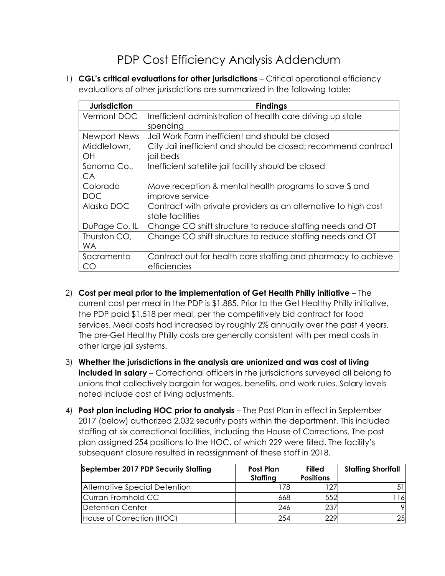## PDP Cost Efficiency Analysis Addendum

1) **CGL's critical evaluations for other jurisdictions** – Critical operational efficiency evaluations of other jurisdictions are summarized in the following table:

| <b>Jurisdiction</b> | <b>Findings</b>                                                |  |  |  |
|---------------------|----------------------------------------------------------------|--|--|--|
| Vermont DOC         | Inefficient administration of health care driving up state     |  |  |  |
|                     | spending                                                       |  |  |  |
| Newport News        | Jail Work Farm inefficient and should be closed                |  |  |  |
| Middletown,         | City Jail inefficient and should be closed; recommend contract |  |  |  |
| OH                  | jail beds                                                      |  |  |  |
| Sonoma Co.,         | Inefficient satellite jail facility should be closed           |  |  |  |
| CA                  |                                                                |  |  |  |
| Colorado            | Move reception & mental health programs to save \$ and         |  |  |  |
| DOC                 | improve service                                                |  |  |  |
| Alaska DOC          | Contract with private providers as an alternative to high cost |  |  |  |
|                     | state facilities                                               |  |  |  |
| DuPage Co, IL       | Change CO shift structure to reduce staffing needs and OT      |  |  |  |
| Thurston CO,        | Change CO shift structure to reduce staffing needs and OT      |  |  |  |
| <b>WA</b>           |                                                                |  |  |  |
| Sacramento          | Contract out for health care staffing and pharmacy to achieve  |  |  |  |
| CO                  | efficiencies                                                   |  |  |  |

- 2) **Cost per meal prior to the implementation of Get Health Philly initiative** The current cost per meal in the PDP is \$1.885. Prior to the Get Healthy Philly initiative, the PDP paid \$1.518 per meal, per the competitively bid contract for food services. Meal costs had increased by roughly 2% annually over the past 4 years. The pre-Get Healthy Philly costs are generally consistent with per meal costs in other large jail systems.
- 3) **Whether the jurisdictions in the analysis are unionized and was cost of living included in salary** – Correctional officers in the jurisdictions surveyed all belong to unions that collectively bargain for wages, benefits, and work rules. Salary levels noted include cost of living adjustments.
- 4) **Post plan including HOC prior to analysis** The Post Plan in effect in September 2017 (below) authorized 2,032 security posts within the department. This included staffing at six correctional facilities, including the House of Corrections. The post plan assigned 254 positions to the HOC, of which 229 were filled. The facility's subsequent closure resulted in reassignment of these staff in 2018.

| September 2017 PDP Security Staffing | Post Plan<br>Staffing | <b>Filled</b><br><b>Positions</b> | <b>Staffing Shortfall</b> |
|--------------------------------------|-----------------------|-----------------------------------|---------------------------|
| Alternative Special Detention        | 178                   | 1 2 7                             |                           |
| Curran Fromhold CC                   | 668                   | 552                               | 16I                       |
| Detention Center                     | 246                   | 237                               | $\mathsf{Q}$              |
| House of Correction (HOC)            | 254                   | 229                               | 25                        |